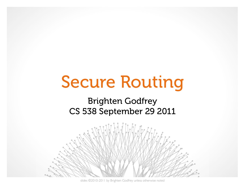# Secure Routing

#### Brighten Godfrey CS 538 September 29 2011



slides ©2010-2011 by Brighten Godfrey unless otherwise noted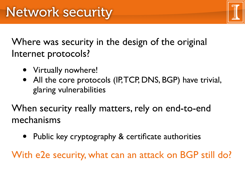Where was security in the design of the original Internet protocols?

- Virtually nowhere!
- All the core protocols (IP, TCP, DNS, BGP) have trivial, glaring vulnerabilities

When security really matters, rely on end-to-end mechanisms

• Public key cryptography & certificate authorities

With e2e security, what can an attack on BGP still do?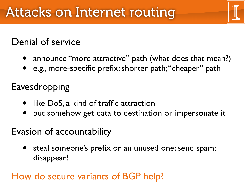#### Denial of service

- announce "more attractive" path (what does that mean?)
- e.g., more-specific prefix; shorter path; "cheaper" path

#### Eavesdropping

- like DoS, a kind of traffic attraction
- but somehow get data to destination or impersonate it

#### Evasion of accountability

• steal someone's prefix or an unused one; send spam; disappear!

#### How do secure variants of BGP help?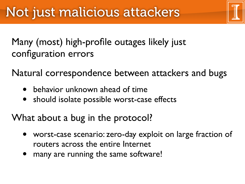#### Many (most) high-profile outages likely just configuration errors

Natural correspondence between attackers and bugs

- behavior unknown ahead of time
- should isolate possible worst-case effects

What about a bug in the protocol?

- worst-case scenario: zero-day exploit on large fraction of routers across the entire Internet
- many are running the same software!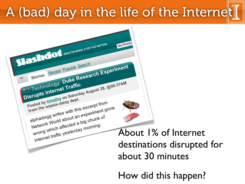## A (bad) day in the life of the Internet



About 1% of Internet destinations disrupted for about 30 minutes

How did this happen?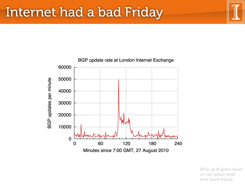

[Plots by Brighten based on raw update feeds from Route Views]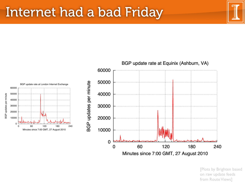BGP updates per minute

BGP updates per minute



Minutes since 7:00 GMT, 27 August 2010

[Plots by Brighten based on raw update feeds from Route Views]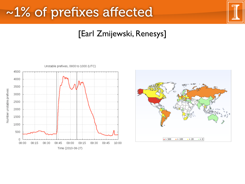### ~1% of prefixes affected

#### [\[Earl Zmijewski,](http://www.renesys.com/blog/) Renesys]



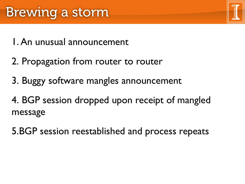- 1. An unusual announcement
- 2. Propagation from router to router
- 3. Buggy software mangles announcement
- 4. BGP session dropped upon receipt of mangled message
- 5.BGP session reestablished and process repeats